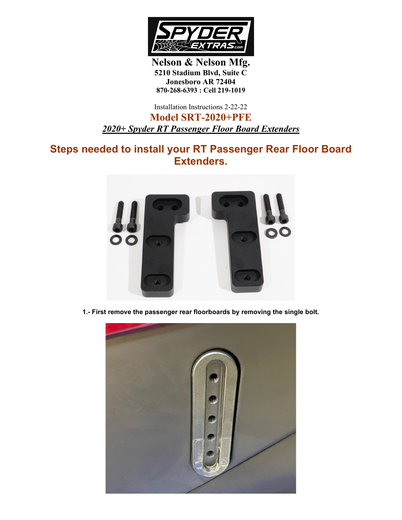

**Nelson & Nelson Mfg. 5210 Stadium Blvd, Suite C Jonesboro AR 72404 870-268-6393 : Cell 219-1019**

Installation Instructions 2-22-22

**Model SRT-2020+PFE** *2020+ Spyder RT Passenger Floor Board Extenders*

**Steps needed to install your RT Passenger Rear Floor Board Extenders.**



**1.- First remove the passenger rear floorboards by removing the single bolt.**